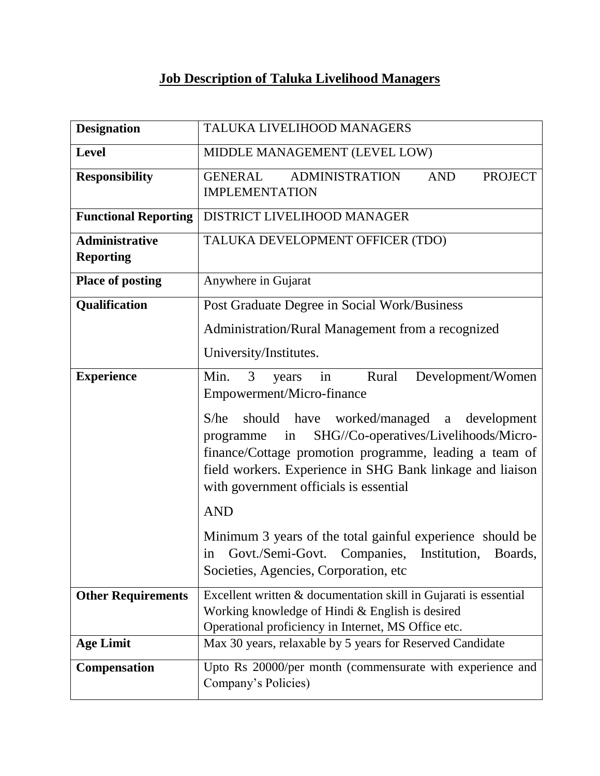## **Job Description of Taluka Livelihood Managers**

| <b>Designation</b>                        | TALUKA LIVELIHOOD MANAGERS                                                                                                                                                                                                                                                    |
|-------------------------------------------|-------------------------------------------------------------------------------------------------------------------------------------------------------------------------------------------------------------------------------------------------------------------------------|
| <b>Level</b>                              | MIDDLE MANAGEMENT (LEVEL LOW)                                                                                                                                                                                                                                                 |
| <b>Responsibility</b>                     | <b>ADMINISTRATION</b><br><b>AND</b><br><b>PROJECT</b><br><b>GENERAL</b><br><b>IMPLEMENTATION</b>                                                                                                                                                                              |
| <b>Functional Reporting</b>               | DISTRICT LIVELIHOOD MANAGER                                                                                                                                                                                                                                                   |
| <b>Administrative</b><br><b>Reporting</b> | TALUKA DEVELOPMENT OFFICER (TDO)                                                                                                                                                                                                                                              |
| <b>Place of posting</b>                   | Anywhere in Gujarat                                                                                                                                                                                                                                                           |
| Qualification                             | Post Graduate Degree in Social Work/Business                                                                                                                                                                                                                                  |
|                                           | Administration/Rural Management from a recognized                                                                                                                                                                                                                             |
|                                           | University/Institutes.                                                                                                                                                                                                                                                        |
| <b>Experience</b>                         | Min.<br>in<br>3<br>Rural<br>Development/Women<br>years<br>Empowerment/Micro-finance                                                                                                                                                                                           |
|                                           | should have worked/managed a development<br>S/he<br>SHG//Co-operatives/Livelihoods/Micro-<br>programme<br>in<br>finance/Cottage promotion programme, leading a team of<br>field workers. Experience in SHG Bank linkage and liaison<br>with government officials is essential |
|                                           | <b>AND</b>                                                                                                                                                                                                                                                                    |
|                                           | Minimum 3 years of the total gainful experience should be<br>in Govt./Semi-Govt. Companies, Institution,<br>Boards.<br>Societies, Agencies, Corporation, etc.                                                                                                                 |
| <b>Other Requirements</b>                 | Excellent written & documentation skill in Gujarati is essential<br>Working knowledge of Hindi & English is desired<br>Operational proficiency in Internet, MS Office etc.                                                                                                    |
| <b>Age Limit</b>                          | Max 30 years, relaxable by 5 years for Reserved Candidate                                                                                                                                                                                                                     |
| <b>Compensation</b>                       | Upto Rs 20000/per month (commensurate with experience and<br>Company's Policies)                                                                                                                                                                                              |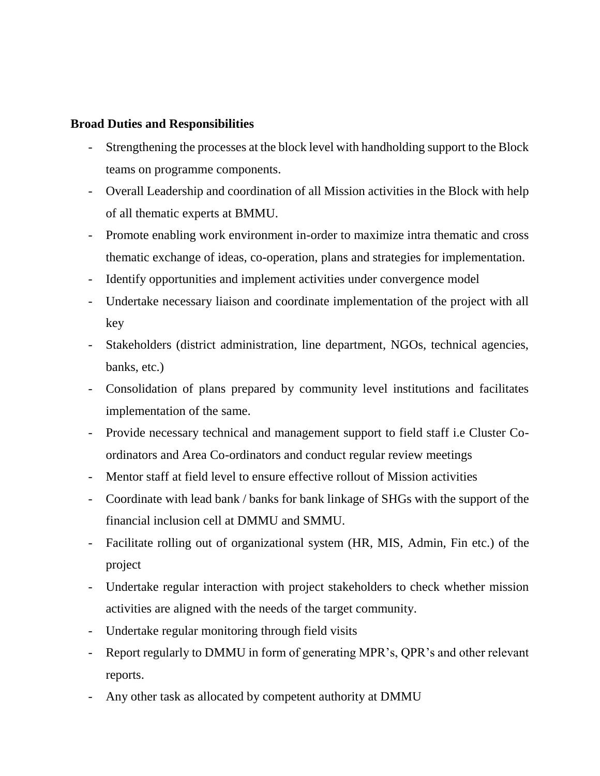## **Broad Duties and Responsibilities**

- Strengthening the processes at the block level with handholding support to the Block teams on programme components.
- Overall Leadership and coordination of all Mission activities in the Block with help of all thematic experts at BMMU.
- Promote enabling work environment in-order to maximize intra thematic and cross thematic exchange of ideas, co-operation, plans and strategies for implementation.
- Identify opportunities and implement activities under convergence model
- Undertake necessary liaison and coordinate implementation of the project with all key
- Stakeholders (district administration, line department, NGOs, technical agencies, banks, etc.)
- Consolidation of plans prepared by community level institutions and facilitates implementation of the same.
- Provide necessary technical and management support to field staff i.e Cluster Coordinators and Area Co-ordinators and conduct regular review meetings
- Mentor staff at field level to ensure effective rollout of Mission activities
- Coordinate with lead bank / banks for bank linkage of SHGs with the support of the financial inclusion cell at DMMU and SMMU.
- Facilitate rolling out of organizational system (HR, MIS, Admin, Fin etc.) of the project
- Undertake regular interaction with project stakeholders to check whether mission activities are aligned with the needs of the target community.
- Undertake regular monitoring through field visits
- Report regularly to DMMU in form of generating MPR's, QPR's and other relevant reports.
- Any other task as allocated by competent authority at DMMU